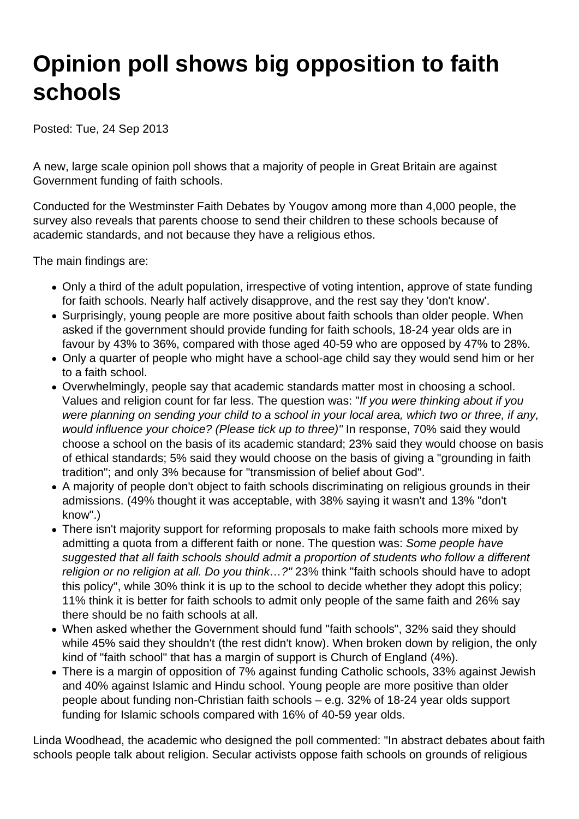## **Opinion poll shows big opposition to faith schools**

Posted: Tue, 24 Sep 2013

A new, large scale opinion poll shows that a majority of people in Great Britain are against Government funding of faith schools.

Conducted for the Westminster Faith Debates by Yougov among more than 4,000 people, the survey also reveals that parents choose to send their children to these schools because of academic standards, and not because they have a religious ethos.

The main findings are:

- Only a third of the adult population, irrespective of voting intention, approve of state funding for faith schools. Nearly half actively disapprove, and the rest say they 'don't know'.
- Surprisingly, young people are more positive about faith schools than older people. When asked if the government should provide funding for faith schools, 18-24 year olds are in favour by 43% to 36%, compared with those aged 40-59 who are opposed by 47% to 28%.
- Only a quarter of people who might have a school-age child say they would send him or her to a faith school.
- Overwhelmingly, people say that academic standards matter most in choosing a school. Values and religion count for far less. The question was: "If you were thinking about if you were planning on sending your child to a school in your local area, which two or three, if any, would influence your choice? (Please tick up to three)" In response, 70% said they would choose a school on the basis of its academic standard; 23% said they would choose on basis of ethical standards; 5% said they would choose on the basis of giving a "grounding in faith tradition"; and only 3% because for "transmission of belief about God".
- A majority of people don't object to faith schools discriminating on religious grounds in their admissions. (49% thought it was acceptable, with 38% saying it wasn't and 13% "don't know".)
- There isn't majority support for reforming proposals to make faith schools more mixed by admitting a quota from a different faith or none. The question was: Some people have suggested that all faith schools should admit a proportion of students who follow a different religion or no religion at all. Do you think…?" 23% think "faith schools should have to adopt this policy", while 30% think it is up to the school to decide whether they adopt this policy; 11% think it is better for faith schools to admit only people of the same faith and 26% say there should be no faith schools at all.
- When asked whether the Government should fund "faith schools", 32% said they should while 45% said they shouldn't (the rest didn't know). When broken down by religion, the only kind of "faith school" that has a margin of support is Church of England (4%).
- There is a margin of opposition of 7% against funding Catholic schools, 33% against Jewish and 40% against Islamic and Hindu school. Young people are more positive than older people about funding non-Christian faith schools – e.g. 32% of 18-24 year olds support funding for Islamic schools compared with 16% of 40-59 year olds.

Linda Woodhead, the academic who designed the poll commented: "In abstract debates about faith schools people talk about religion. Secular activists oppose faith schools on grounds of religious